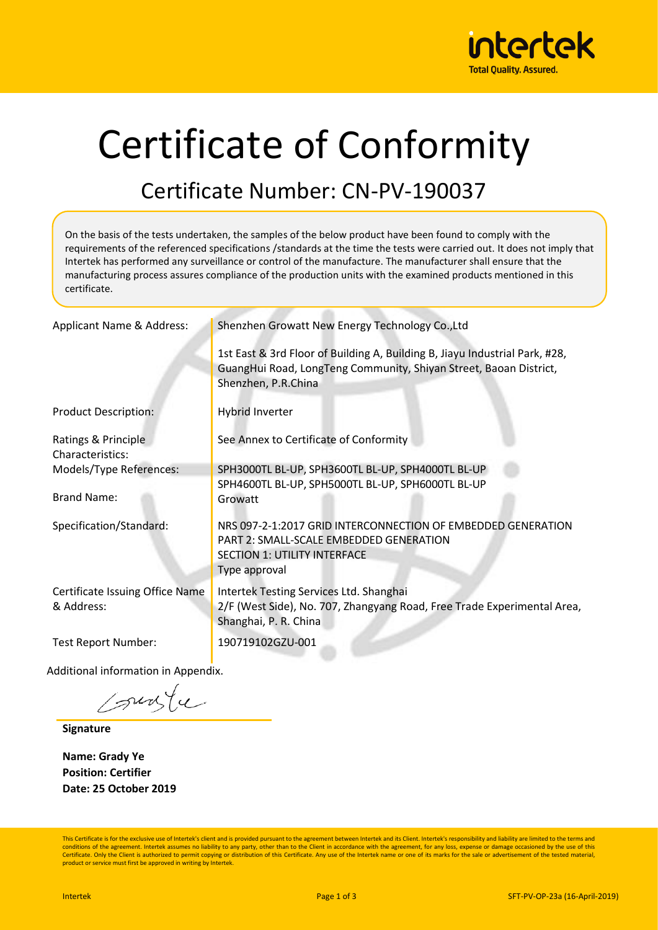

# Certificate of Conformity

#### Certificate Number: CN-PV-190037

On the basis of the tests undertaken, the samples of the below product have been found to comply with the requirements of the referenced specifications /standards at the time the tests were carried out. It does not imply that Intertek has performed any surveillance or control of the manufacture. The manufacturer shall ensure that the manufacturing process assures compliance of the production units with the examined products mentioned in this certificate.

| Applicant Name & Address:                     | Shenzhen Growatt New Energy Technology Co., Ltd                                                                                                                         |
|-----------------------------------------------|-------------------------------------------------------------------------------------------------------------------------------------------------------------------------|
|                                               | 1st East & 3rd Floor of Building A, Building B, Jiayu Industrial Park, #28,<br>GuangHui Road, LongTeng Community, Shiyan Street, Baoan District,<br>Shenzhen, P.R.China |
| <b>Product Description:</b>                   | Hybrid Inverter                                                                                                                                                         |
| Ratings & Principle<br>Characteristics:       | See Annex to Certificate of Conformity                                                                                                                                  |
| Models/Type References:                       | SPH3000TL BL-UP, SPH3600TL BL-UP, SPH4000TL BL-UP<br>SPH4600TL BL-UP, SPH5000TL BL-UP, SPH6000TL BL-UP                                                                  |
| <b>Brand Name:</b>                            | Growatt                                                                                                                                                                 |
| Specification/Standard:                       | NRS 097-2-1:2017 GRID INTERCONNECTION OF EMBEDDED GENERATION<br>PART 2: SMALL-SCALE EMBEDDED GENERATION<br><b>SECTION 1: UTILITY INTERFACE</b><br>Type approval         |
| Certificate Issuing Office Name<br>& Address: | Intertek Testing Services Ltd. Shanghai<br>2/F (West Side), No. 707, Zhangyang Road, Free Trade Experimental Area,<br>Shanghai, P. R. China                             |
| <b>Test Report Number:</b>                    | 190719102GZU-001                                                                                                                                                        |
| dditional information in Annondiv             |                                                                                                                                                                         |

Additional information in Appendix.

sunte

**Signature**

**Name: Grady Ye Position: Certifier Date: 25 October 2019**

This Certificate is for the exclusive use of Intertek's client and is provided pursuant to the agreement between Intertek and its Client. Intertek's responsibility and liability are limited to the terms and conditions of the agreement. Intertek assumes no liability to any party, other than to the Client in accordance with the agreement, for any loss, expense or damage occasioned by the use of this Certificate. Only the Client is authorized to permit copying or distribution of this Certificate. Any use of the Intertek name or one of its marks for the sale or advertisement of the tested material, product or service must first be approved in writing by Intertek.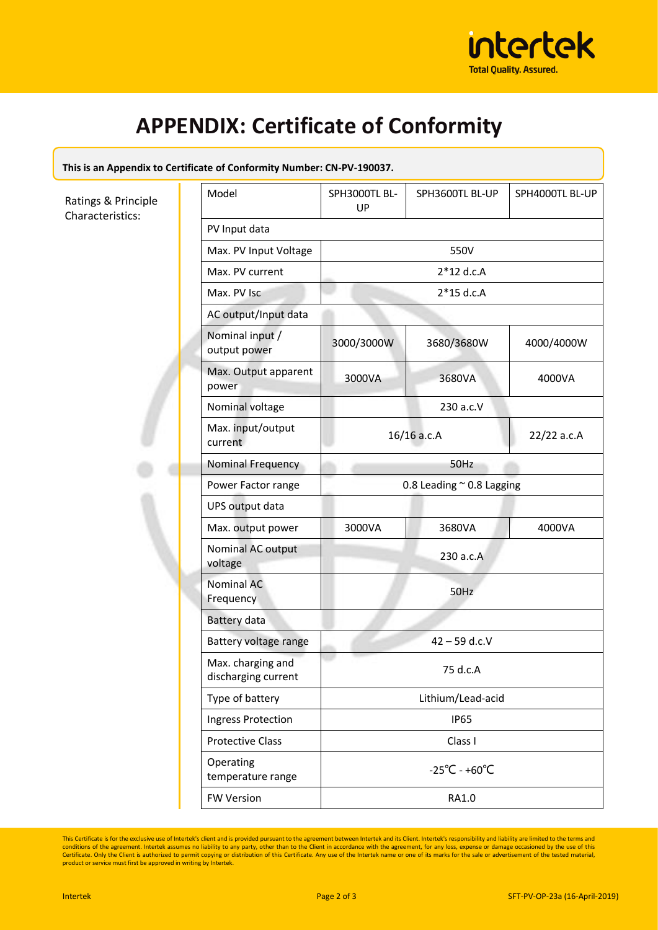

## **APPENDIX: Certificate of Conformity**

#### **This is an Appendix to Certificate of Conformity Number: CN-PV-190037.**

G I

Ratings & Principle Characteristics:

| Model                                    | SPH3000TL BL-<br>UP                | SPH3600TL BL-UP | SPH4000TL BL-UP |  |
|------------------------------------------|------------------------------------|-----------------|-----------------|--|
| PV Input data                            |                                    |                 |                 |  |
| Max. PV Input Voltage                    | 550V                               |                 |                 |  |
| Max. PV current                          | $2*12$ d.c.A                       |                 |                 |  |
| Max. PV Isc                              | $2*15$ d.c.A                       |                 |                 |  |
| AC output/Input data                     |                                    |                 |                 |  |
| Nominal input /<br>output power          | 3000/3000W                         | 3680/3680W      | 4000/4000W      |  |
| Max. Output apparent<br>power            | 3000VA                             | 3680VA          | 4000VA          |  |
| Nominal voltage                          | 230 a.c.V                          |                 |                 |  |
| Max. input/output<br>current             | $16/16$ a.c.A                      |                 | 22/22 a.c.A     |  |
| Nominal Frequency                        | 50Hz                               |                 |                 |  |
| Power Factor range                       | 0.8 Leading ~ 0.8 Lagging          |                 |                 |  |
| UPS output data                          |                                    |                 |                 |  |
| Max. output power                        | 3000VA                             | 3680VA          | 4000VA          |  |
| Nominal AC output<br>voltage             |                                    | 230 a.c.A       |                 |  |
| <b>Nominal AC</b><br>Frequency           | 50Hz                               |                 |                 |  |
| Battery data                             |                                    |                 |                 |  |
| Battery voltage range                    |                                    | $42 - 59$ d.c.V |                 |  |
| Max. charging and<br>discharging current | 75 d.c.A                           |                 |                 |  |
| Type of battery                          | Lithium/Lead-acid                  |                 |                 |  |
| Ingress Protection                       | <b>IP65</b>                        |                 |                 |  |
| <b>Protective Class</b>                  | Class I                            |                 |                 |  |
| Operating<br>temperature range           | $-25^{\circ}$ C - +60 $^{\circ}$ C |                 |                 |  |
| <b>FW Version</b>                        | RA1.0                              |                 |                 |  |

This Certificate is for the exclusive use of Intertek's client and is provided pursuant to the agreement between Intertek and its Client. Intertek's responsibility and liability are limited to the terms and ability are lim product or service must first be approved in writing by Intertek.